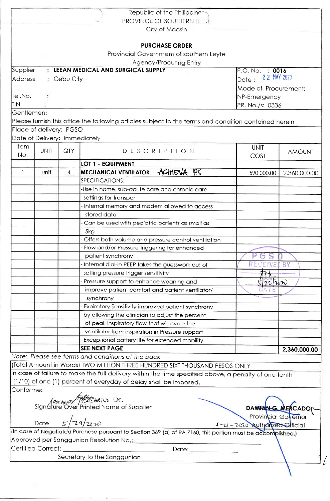|            |                               |                        | Republic of the Philippine                                                                                  |                               |               |  |
|------------|-------------------------------|------------------------|-------------------------------------------------------------------------------------------------------------|-------------------------------|---------------|--|
|            |                               |                        | PROVINCE OF SOUTHERN LL. E                                                                                  |                               |               |  |
|            |                               |                        | City of Maasin                                                                                              |                               |               |  |
|            |                               |                        | <b>PURCHASE ORDER</b>                                                                                       |                               |               |  |
|            |                               |                        | Provincial Government of southern Leyte                                                                     |                               |               |  |
|            |                               |                        | Agency/Procuring Entry                                                                                      |                               |               |  |
| Supplier   |                               |                        | <b>LEEAN MEDICAL AND SURGICAL SUPPLY</b>                                                                    | P.O. No. : 0016               |               |  |
| Address    |                               | $\therefore$ Cebu City |                                                                                                             | 2 2 MAY 2020<br>Date:         |               |  |
|            |                               |                        | Mode of Procurement:<br>NP-Emergency                                                                        |                               |               |  |
| Tel.No.    |                               |                        |                                                                                                             |                               |               |  |
| <b>TIN</b> |                               |                        | PR. No./s: 0336                                                                                             |                               |               |  |
| Gentlemen: |                               |                        |                                                                                                             |                               |               |  |
|            |                               |                        | Please furnish this office the following articles subject to the terms and condition contained herein       |                               |               |  |
|            | Place of delivery: PGSO       |                        |                                                                                                             |                               |               |  |
|            | Date of Delivery: Immediately |                        |                                                                                                             |                               |               |  |
| Item       |                               |                        |                                                                                                             |                               |               |  |
| No.        | <b>UNIT</b>                   | <b>QTY</b>             | DESCRIPTION                                                                                                 | <b>UNIT</b><br>COST           | <b>AMOUNT</b> |  |
|            |                               |                        | LOT 1 - EQUIPMENT                                                                                           |                               |               |  |
|            | unit                          | 4                      | ACHIEVA PS<br><b>MECHANICAL VENTILATOR</b>                                                                  | 590,000.00                    |               |  |
|            |                               |                        | SPECIFICATIONS:                                                                                             |                               | 2,360,000.00  |  |
|            |                               |                        | -Use in home, sub-acute care and chronic care                                                               |                               |               |  |
|            |                               |                        |                                                                                                             |                               |               |  |
|            |                               |                        | settings for transport                                                                                      |                               |               |  |
|            |                               |                        | Internal memory and modem allowed to access<br>stored data                                                  |                               |               |  |
|            |                               |                        |                                                                                                             |                               |               |  |
|            |                               |                        | - Can be used with pediatric patients as small as                                                           |                               |               |  |
|            |                               |                        | 5kg                                                                                                         |                               |               |  |
|            |                               |                        | Offers both volume and pressure control ventilation                                                         |                               |               |  |
|            |                               |                        | - Flow and/or Pressure triggering for enhanced                                                              |                               |               |  |
|            |                               |                        | patient synchrony                                                                                           | RECEIVE                       |               |  |
|            |                               |                        | Internal dial-in PEEP takes the guesswork out of                                                            |                               | <b>BY</b>     |  |
|            |                               |                        | setting pressure trigger sensitivity                                                                        |                               |               |  |
|            |                               |                        | Pressure support to enhance weaning and                                                                     | 222n                          |               |  |
|            |                               |                        | improve patient comfort and patient ventilator/                                                             |                               |               |  |
|            |                               |                        | synchrony                                                                                                   |                               |               |  |
|            |                               |                        | Expiratory Sensitivity improved patient synchrony                                                           |                               |               |  |
|            |                               |                        | by allowing the clinician to adjust the percent                                                             |                               |               |  |
|            |                               |                        | of peak inspiratory flow that will cycle the                                                                |                               |               |  |
|            |                               |                        | ventilator from inspiration in Pressure support                                                             |                               |               |  |
|            |                               |                        | Exceptional battery life for extended mobility                                                              |                               |               |  |
|            |                               |                        | <b>SEE NEXT PAGE</b>                                                                                        |                               | 2,360,000.00  |  |
|            |                               |                        | Note: Please see terms and conditions at the back                                                           |                               |               |  |
|            |                               |                        | (Total Amount in Words) TWO MILLION THREE HUNDRED SIXT THOUSAND PESOS ONLY                                  |                               |               |  |
|            |                               |                        | In case of failure to make the full delivery within the time specified above, a penalty of one-tenth        |                               |               |  |
|            |                               |                        | (1/10) of one (1) percent of everyday of delay shall be imposed.                                            |                               |               |  |
| Conforme:  |                               |                        |                                                                                                             |                               |               |  |
|            |                               |                        | <i>Annewald PERS BRING</i> OR.<br>Signature Over Printed Name of Supplier                                   |                               |               |  |
|            |                               |                        |                                                                                                             | <b>DAMIAN G. MERCADO</b>      |               |  |
|            | Date $5/29/2870$              |                        |                                                                                                             | <b>Provincial Governor</b>    |               |  |
|            |                               |                        |                                                                                                             | 5-21-2020 Authorized Official |               |  |
|            |                               |                        | (In case of Negotiated Purchase pursuant to Section 369 (a) of RA 7160, this portion must be accomplished.) |                               |               |  |
|            |                               |                        | Approved per Sanggunian Resolution No.:                                                                     |                               |               |  |
|            | Certified Correct: _________  |                        | Date: __________                                                                                            |                               |               |  |
|            |                               |                        | Secretary to the Sanggunian                                                                                 |                               |               |  |